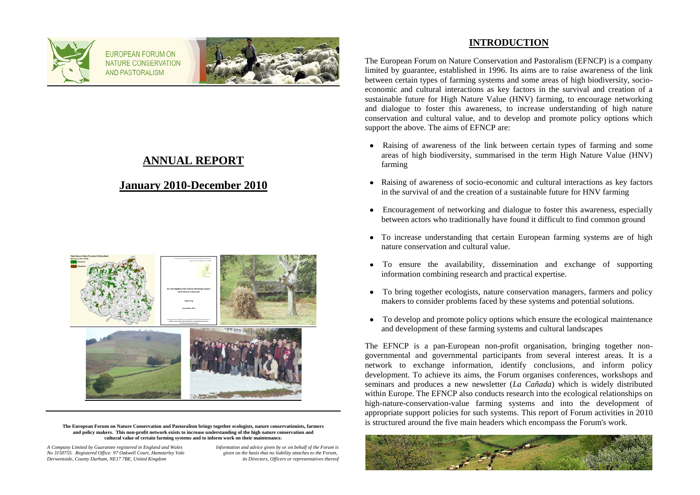

FUROPEAN FORUM ON NATURE CONSERVATION **AND PASTORALISM** 



## **ANNUAL REPORT**

## **January 2010-December 2010**



**The European Forum on Nature Conservation and Pastoralism brings together ecologists, nature conservationists, farmers and policy makers. This non-profit network exists to increase understanding of the high nature conservation and cultural value of certain farming systems and to inform work on their maintenance.**

*A Company Limited by Guarantee registered in England and Wales Information and advice given by or on behalf of the Forum is No 3150755. Registered Office: 97 Oakwell Court, Hamsterley Vale given on the basis that no liability attaches to the Forum, Derwentside, County Durham, NE17 7BE, United Kingdom* 

### **INTRODUCTION**

The European Forum on Nature Conservation and Pastoralism (EFNCP) is a company limited by guarantee, established in 1996. Its aims are to raise awareness of the link between certain types of farming systems and some areas of high biodiversity, socioeconomic and cultural interactions as key factors in the survival and creation of a sustainable future for High Nature Value (HNV) farming, to encourage networking and dialogue to foster this awareness, to increase understanding of high nature conservation and cultural value, and to develop and promote policy options which support the above. The aims of EFNCP are:

- Raising of awareness of the link between certain types of farming and some areas of high biodiversity, summarised in the term High Nature Value (HNV) farming
- Raising of awareness of socio-economic and cultural interactions as key factors in the survival of and the creation of a sustainable future for HNV farming
- Encouragement of networking and dialogue to foster this awareness, especially  $\bullet$ between actors who traditionally have found it difficult to find common ground
- To increase understanding that certain European farming systems are of high nature conservation and cultural value.
- To ensure the availability, dissemination and exchange of supporting  $\bullet$ information combining research and practical expertise.
- To bring together ecologists, nature conservation managers, farmers and policy  $\bullet$ makers to consider problems faced by these systems and potential solutions.
- To develop and promote policy options which ensure the ecological maintenance and development of these farming systems and cultural landscapes

The EFNCP is a pan-European non-profit organisation, bringing together nongovernmental and governmental participants from several interest areas. It is a network to exchange information, identify conclusions, and inform policy development. To achieve its aims, the Forum organises conferences, workshops and seminars and produces a new newsletter (*La Cañada*) which is widely distributed within Europe. The EFNCP also conducts research into the ecological relationships on high-nature-conservation-value farming systems and into the development of appropriate support policies for such systems. This report of Forum activities in 2010 is structured around the five main headers which encompass the Forum's work.

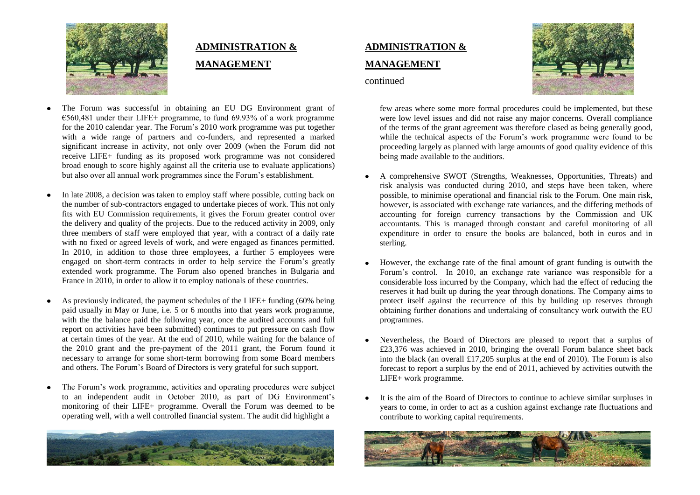

# **ADMINISTRATION & MANAGEMENT**

- The Forum was successful in obtaining an EU DG Environment grant of  $\epsilon$ 560,481 under their LIFE+ programme, to fund 69.93% of a work programme for the 2010 calendar year. The Forum's 2010 work programme was put together with a wide range of partners and co-funders, and represented a marked significant increase in activity, not only over 2009 (when the Forum did not receive LIFE+ funding as its proposed work programme was not considered broad enough to score highly against all the criteria use to evaluate applications) but also over all annual work programmes since the Forum's establishment.
- In late 2008, a decision was taken to employ staff where possible, cutting back on the number of sub-contractors engaged to undertake pieces of work. This not only fits with EU Commission requirements, it gives the Forum greater control over the delivery and quality of the projects. Due to the reduced activity in 2009, only three members of staff were employed that year, with a contract of a daily rate with no fixed or agreed levels of work, and were engaged as finances permitted. In 2010, in addition to those three employees, a further 5 employees were engaged on short-term contracts in order to help service the Forum's greatly extended work programme. The Forum also opened branches in Bulgaria and France in 2010, in order to allow it to employ nationals of these countries.
- As previously indicated, the payment schedules of the LIFE+ funding (60% being paid usually in May or June, i.e. 5 or 6 months into that years work programme, with the the balance paid the following year, once the audited accounts and full report on activities have been submitted) continues to put pressure on cash flow at certain times of the year. At the end of 2010, while waiting for the balance of the 2010 grant and the pre-payment of the 2011 grant, the Forum found it necessary to arrange for some short-term borrowing from some Board members and others. The Forum's Board of Directors is very grateful for such support.
- The Forum's work programme, activities and operating procedures were subject to an independent audit in October 2010, as part of DG Environment's monitoring of their LIFE+ programme. Overall the Forum was deemed to be operating well, with a well controlled financial system. The audit did highlight a



# **ADMINISTRATION & MANAGEMENT**



continued

few areas where some more formal procedures could be implemented, but these were low level issues and did not raise any major concerns. Overall compliance of the terms of the grant agreement was therefore clased as being generally good, while the technical aspects of the Forum's work programme were found to be proceeding largely as planned with large amounts of good quality evidence of this being made available to the auditiors.

- A comprehensive SWOT (Strengths, Weaknesses, Opportunities, Threats) and risk analysis was conducted during 2010, and steps have been taken, where possible, to minimise operational and financial risk to the Forum. One main risk, however, is associated with exchange rate variances, and the differing methods of accounting for foreign currency transactions by the Commission and UK accountants. This is managed through constant and careful monitoring of all expenditure in order to ensure the books are balanced, both in euros and in sterling.
- However, the exchange rate of the final amount of grant funding is outwith the Forum's control. In 2010, an exchange rate variance was responsible for a considerable loss incurred by the Company, which had the effect of reducing the reserves it had built up during the year through donations. The Company aims to protect itself against the recurrence of this by building up reserves through obtaining further donations and undertaking of consultancy work outwith the EU programmes.
- Nevertheless, the Board of Directors are pleased to report that a surplus of £23,376 was achieved in 2010, bringing the overall Forum balance sheet back into the black (an overall £17,205 surplus at the end of 2010). The Forum is also forecast to report a surplus by the end of 2011, achieved by activities outwith the LIFE+ work programme.
- It is the aim of the Board of Directors to continue to achieve similar surpluses in years to come, in order to act as a cushion against exchange rate fluctuations and contribute to working capital requirements.

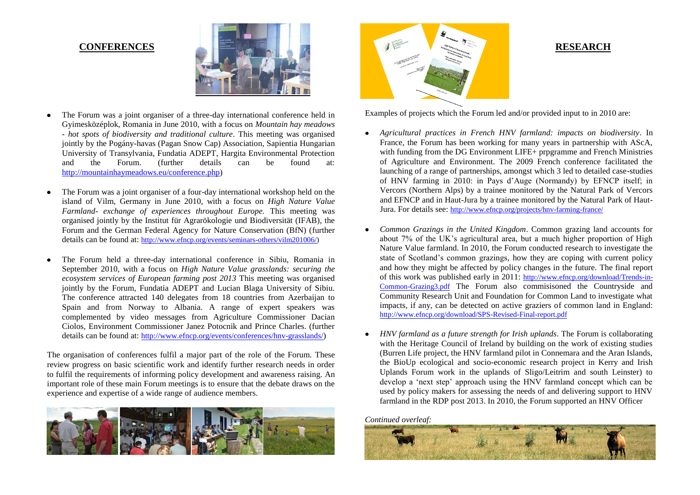#### **CONFERENCES**



- The Forum was a joint organiser of a three-day international conference held in Gyimesközéplok, Romania in June 2010, with a focus on *Mountain hay meadows - hot spots of biodiversity and traditional culture*. This meeting was organised jointly by the Pogány-havas (Pagan Snow Cap) Association, Sapientia Hungarian University of Transylvania, Fundatia ADEPT, Hargita Environmental Protection<br>and the Forum (further details can be found at: and the Forum. (further details can be found at: [http://mountainhaymeadows.eu/conference.php\)](http://mountainhaymeadows.eu/conference.php)
- The Forum was a joint organiser of a four-day international workshop held on the island of Vilm, Germany in June 2010, with a focus on *High Nature Value Farmland- exchange of experiences throughout Europe.* This meeting was organised jointly by the Institut für Agrarökologie und Biodiversität (IFAB), the Forum and the German Federal Agency for Nature Conservation (BfN) (further details can be found at: [http://www.efncp.org/events/seminars-others/vilm201006/\)](http://www.efncp.org/events/seminars-others/vilm201006/)
- The Forum held a three-day international conference in Sibiu, Romania in  $\bullet$ September 2010, with a focus on *High Nature Value grasslands: securing the ecosystem services of European farming post 2013* This meeting was organised jointly by the Forum, Fundatia ADEPT and Lucian Blaga University of Sibiu. The conference attracted 140 delegates from 18 countries from Azerbaijan to Spain and from Norway to Albania. A range of expert speakers was complemented by video messages from Agriculture Commissioner Dacian Ciolos, Environment Commissioner Janez Potocnik and Prince Charles. (further details can be found at: <http://www.efncp.org/events/conferences/hnv-grasslands/>)

The organisation of conferences fulfil a major part of the role of the Forum. These review progress on basic scientific work and identify further research needs in order to fulfil the requirements of informing policy development and awareness raising. An important role of these main Forum meetings is to ensure that the debate draws on the experience and expertise of a wide range of audience members.





#### **RESEARCH**

Examples of projects which the Forum led and/or provided input to in 2010 are:

- *Agricultural practices in French HNV farmland: impacts on biodiversity*. In France, the Forum has been working for many years in partnership with AScA, with funding from the DG Environment LIFE+ prpgramme and French Ministries of Agriculture and Environment. The 2009 French conference facilitated the launching of a range of partnerships, amongst which 3 led to detailed case-studies of HNV farming in 2010: in Pays d'Auge (Normandy) by EFNCP itself; in Vercors (Northern Alps) by a trainee monitored by the Natural Park of Vercors and EFNCP and in Haut-Jura by a trainee monitored by the Natural Park of Haut-Jura. For details see: <http://www.efncp.org/projects/hnv-farming-france/>
- *Common Grazings in the United Kingdom*. Common grazing land accounts for about 7% of the UK's agricultural area, but a much higher proportion of High Nature Value farmland. In 2010, the Forum conducted research to investigate the state of Scotland's common grazings, how they are coping with current policy and how they might be affected by policy changes in the future. The final report of this work was published early in 2011: [http://www.efncp.org/download/Trends-in-](http://www.efncp.org/download/Trends-in-Common-Grazing3.pdf)[Common-Grazing3.pdf](http://www.efncp.org/download/Trends-in-Common-Grazing3.pdf) The Forum also commisisoned the Countryside and Community Research Unit and Foundation for Common Land to investigate what impacts, if any, can be detected on active graziers of common land in England: <http://www.efncp.org/download/SPS-Revised-Final-report.pdf>
- *HNV farmland as a future strength for Irish uplands*. The Forum is collaborating with the Heritage Council of Ireland by building on the work of existing studies (Burren Life project, the HNV farmland pilot in Connemara and the Aran Islands, the BioUp ecological and socio-economic research project in Kerry and Irish Uplands Forum work in the uplands of Sligo/Leitrim and south Leinster) to develop a 'next step' approach using the HNV farmland concept which can be used by policy makers for assessing the needs of and delivering support to HNV farmland in the RDP post 2013. In 2010, the Forum supported an HNV Officer

*Continued overleaf:*

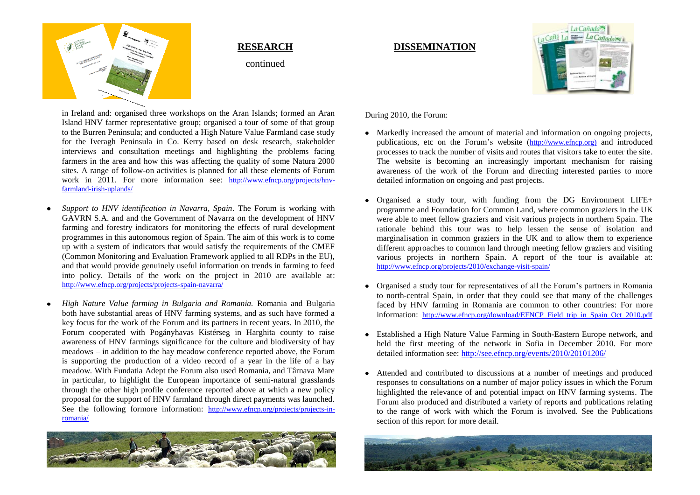

#### **RESEARCH**

continued

### **DISSEMINATION**



in Ireland and: organised three workshops on the Aran Islands; formed an Aran Island HNV farmer representative group; organised a tour of some of that group to the Burren Peninsula; and conducted a High Nature Value Farmland case study for the Iveragh Peninsula in Co. Kerry based on desk research, stakeholder interviews and consultation meetings and highlighting the problems facing farmers in the area and how this was affecting the quality of some Natura 2000 sites. A range of follow-on activities is planned for all these elements of Forum work in 2011. For more information see: [http://www.efncp.org/projects/hnv](http://www.efncp.org/projects/hnv-farmland-irish-uplands/)[farmland-irish-uplands/](http://www.efncp.org/projects/hnv-farmland-irish-uplands/)

- *Support to HNV identification in Navarra, Spain*. The Forum is working with GAVRN S.A. and and the Government of Navarra on the development of HNV farming and forestry indicators for monitoring the effects of rural development programmes in this autonomous region of Spain. The aim of this work is to come up with a system of indicators that would satisfy the requirements of the CMEF (Common Monitoring and Evaluation Framework applied to all RDPs in the EU), and that would provide genuinely useful information on trends in farming to feed into policy. Details of the work on the project in 2010 are available at: <http://www.efncp.org/projects/projects-spain-navarra/>
- *High Nature Value farming in Bulgaria and Romania.* Romania and Bulgaria both have substantial areas of HNV farming systems, and as such have formed a key focus for the work of the Forum and its partners in recent years. In 2010, the Forum cooperated with Pogányhavas Kistérseg in Harghita county to raise awareness of HNV farmings significance for the culture and biodiversity of hay meadows – in addition to the hay meadow conference reported above, the Forum is supporting the production of a video record of a year in the life of a hay meadow. With Fundatia Adept the Forum also used Romania, and Târnava Mare in particular, to highlight the European importance of semi-natural grasslands through the other high profile conference reported above at which a new policy proposal for the support of HNV farmland through direct payments was launched. See the following formore information: [http://www.efncp.org/projects/projects-in](http://www.efncp.org/projects/projects-in-romania/)[romania/](http://www.efncp.org/projects/projects-in-romania/)



During 2010, the Forum:

- Markedly increased the amount of material and information on ongoing projects, publications, etc on the Forum's website ([http://www.efncp.org\)](http://www.efncp.org)/) and introduced processes to track the number of visits and routes that visitors take to enter the site. The website is becoming an increasingly important mechanism for raising awareness of the work of the Forum and directing interested parties to more detailed information on ongoing and past projects.
- Organised a study tour, with funding from the DG Environment LIFE+ programme and Foundation for Common Land, where common graziers in the UK were able to meet fellow graziers and visit various projects in northern Spain. The rationale behind this tour was to help lessen the sense of isolation and marginalisation in common graziers in the UK and to allow them to experience different approaches to common land through meeting fellow graziers and visiting various projects in northern Spain. A report of the tour is available at: <http://www.efncp.org/projects/2010/exchange-visit-spain/>
- Organised a study tour for representatives of all the Forum's partners in Romania to north-central Spain, in order that they could see that many of the challenges faced by HNV farming in Romania are common to other countries: For more information: [http://www.efncp.org/download/EFNCP\\_Field\\_trip\\_in\\_Spain\\_Oct\\_2010.pdf](http://www.efncp.org/download/EFNCP_Field_trip_in_Spain_Oct_2010.pdf)
- Established a High Nature Value Farming in South-Eastern Europe network, and held the first meeting of the network in Sofia in December 2010. For more detailed information see:<http://see.efncp.org/events/2010/20101206/>
- Attended and contributed to discussions at a number of meetings and produced responses to consultations on a number of major policy issues in which the Forum highlighted the relevance of and potential impact on HNV farming systems. The Forum also produced and distributed a variety of reports and publications relating to the range of work with which the Forum is involved. See the Publications section of this report for more detail.

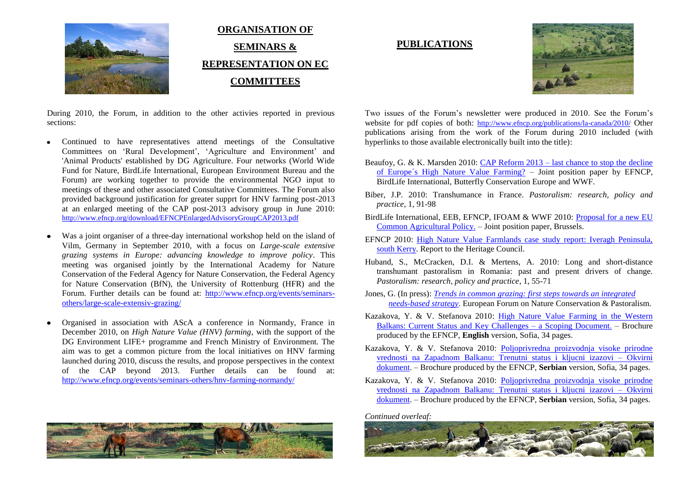

**ORGANISATION OF SEMINARS & REPRESENTATION ON EC COMMITTEES**

#### During 2010, the Forum, in addition to the other activies reported in previous sections:

- Continued to have representatives attend meetings of the Consultative Committees on 'Rural Development', 'Agriculture and Environment' and 'Animal Products' established by DG Agriculture. Four networks (World Wide Fund for Nature, BirdLife International, European Environment Bureau and the Forum) are working together to provide the environmental NGO input to meetings of these and other associated Consultative Committees. The Forum also provided background justification for greater supprt for HNV farming post-2013 at an enlarged meeting of the CAP post-2013 advisory group in June 2010: <http://www.efncp.org/download/EFNCPEnlargedAdvisoryGroupCAP2013.pdf>
- Was a joint organiser of a three-day international workshop held on the island of Vilm, Germany in September 2010, with a focus on *Large-scale extensive grazing systems in Europe: advancing knowledge to improve policy*. This meeting was organised jointly by the International Academy for Nature Conservation of the Federal Agency for Nature Conservation, the Federal Agency for Nature Conservation (BfN), the University of Rottenburg (HFR) and the Forum. Further details can be found at: [http://www.efncp.org/events/seminars](http://www.efncp.org/events/seminars-others/large-scale-extensiv-grazing/)[others/large-scale-extensiv-grazing/](http://www.efncp.org/events/seminars-others/large-scale-extensiv-grazing/)
- Organised in association with AScA a conference in Normandy, France in December 2010, on *High Nature Value (HNV) farming*, with the support of the DG Environment LIFE+ programme and French Ministry of Environment. The aim was to get a common picture from the local initiatives on HNV farming launched during 2010, discuss the results, and propose perspectives in the context of the CAP beyond 2013. Further details can be found at: <http://www.efncp.org/events/seminars-others/hnv-farming-normandy/>



#### **PUBLICATIONS**



Two issues of the Forum's newsletter were produced in 2010. See the Forum's website for pdf copies of both: <http://www.efncp.org/publications/la-canada/2010/> Other publications arising from the work of the Forum during 2010 included (with hyperlinks to those available electronically built into the title):

- Beaufoy, G. & K. Marsden 2010: CAP Reform 2013 [last chance to stop the decline](http://www.efncp.org/download/policy-cap-reform-2013.pdf)  [of Europe´s High Nature Value Farming?](http://www.efncp.org/download/policy-cap-reform-2013.pdf) – Joint position paper by EFNCP, BirdLife International, Butterfly Conservation Europe and WWF.
- Biber, J.P. 2010: Transhumance in France. *Pastoralism: research, policy and practice*, 1, 91-98
- BirdLife International, EEB, EFNCP, IFOAM & WWF 2010: [Proposal for a new EU](http://www.efncp.org/download/Proposal_for_a_new_common_agricultural_policy_FINAL_100302.pdf)  [Common Agricultural Policy.](http://www.efncp.org/download/Proposal_for_a_new_common_agricultural_policy_FINAL_100302.pdf) – Joint position paper, Brussels.
- EFNCP 2010: [High Nature Value Farmlands case study report: Iveragh Peninsula,](http://www.efncp.org/download/Kerry-Case-Study.pdf)  [south Kerry.](http://www.efncp.org/download/Kerry-Case-Study.pdf) Report to the Heritage Council.
- Huband, S., McCracken, D.I. & Mertens, A. 2010: Long and short-distance transhumant pastoralism in Romania: past and present drivers of change. *Pastoralism: research, policy and practice*, 1, 55-71
- Jones, G. (In press): *[Trends in common grazing: first steps towards an integrated](http://www.efncp.org/download/Trends-in-Common-Grazing3.pdf)  [needs-based strategy](http://www.efncp.org/download/Trends-in-Common-Grazing3.pdf)*. European Forum on Nature Conservation & Pastoralism.
- Kazakova, Y. & V. Stefanova 2010: [High Nature Value Farming in the Western](http://www.efncp.org/download/HNVF_SEE_v1.pdf)  [Balkans: Current Status and Key Challenges –](http://www.efncp.org/download/HNVF_SEE_v1.pdf) a Scoping Document. – Brochure produced by the EFNCP, **English** version, Sofia, 34 pages.
- Kazakova, Y. & V. Stefanova 2010: [Poljoprivredna proizvodnja visoke prirodne](http://www.efncp.org/download/HNVF_SEE_Serbia.pdf)  [vrednosti na Zapadnom Balkanu: Trenutni status i kljucni izazovi –](http://www.efncp.org/download/HNVF_SEE_Serbia.pdf) Okvirni [dokument.](http://www.efncp.org/download/HNVF_SEE_Serbia.pdf) – Brochure produced by the EFNCP, **Serbian** version, Sofia, 34 pages.
- Kazakova, Y. & V. Stefanova 2010: [Poljoprivredna proizvodnja visoke prirodne](http://www.efncp.org/download/HNVF_SEE_Serbia.pdf)  [vrednosti na Zapadnom Balkanu: Trenutni status i kljucni izazovi –](http://www.efncp.org/download/HNVF_SEE_Serbia.pdf) Okvirni [dokument.](http://www.efncp.org/download/HNVF_SEE_Serbia.pdf) – Brochure produced by the EFNCP, **Serbian** version, Sofia, 34 pages.

*Continued overleaf:*

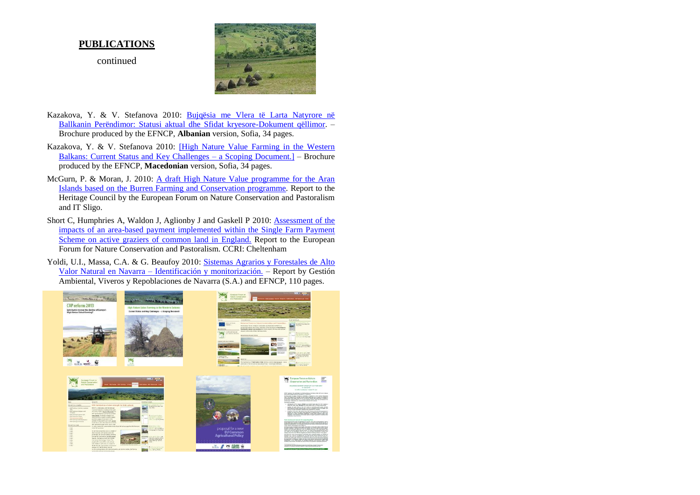#### **PUBLICATIONS**

continued



- Kazakova, Y. & V. Stefanova 2010: [Bujqësia me Vlera të Larta Natyrore në](http://www.efncp.org/download/HNVF_SEE_Albania.pdf)  [Ballkanin Perëndimor: Statusi aktual dhe Sfidat kryesore-Dokument qëllimor.](http://www.efncp.org/download/HNVF_SEE_Albania.pdf) – Brochure produced by the EFNCP, **Albanian** version, Sofia, 34 pages.
- Kazakova, Y. & V. Stefanova 2010: [\[High Nature Value Farming in the Western](http://www.efncp.org/download/HNVF_SEE_Macedonia.pdf)  [Balkans: Current Status and Key Challenges –](http://www.efncp.org/download/HNVF_SEE_Macedonia.pdf) a Scoping Document.] – Brochure produced by the EFNCP, **Macedonian** version, Sofia, 34 pages.
- McGurn, P. & Moran, J. 2010: [A draft High Nature Value programme for the Aran](http://www.efncp.org/download/ARAN.pdf)  [Islands based on the Burren Farming and Conservation programme.](http://www.efncp.org/download/ARAN.pdf) Report to the Heritage Council by the European Forum on Nature Conservation and Pastoralism and IT Sligo.
- Short C, Humphries A, Waldon J, Aglionby J and Gaskell P 2010: [Assessment of the](http://www.efncp.org/download/SPS-Revised-Final-report.pdf)  [impacts of an area-based payment implemented within the Single Farm Payment](http://www.efncp.org/download/SPS-Revised-Final-report.pdf)  [Scheme on active graziers of common land in England.](http://www.efncp.org/download/SPS-Revised-Final-report.pdf) Report to the European Forum for Nature Conservation and Pastoralism. CCRI: Cheltenham
- Yoldi, U.I., Massa, C.A. & G. Beaufoy 2010: [Sistemas Agrarios y Forestales de Alto](http://www.efncp.org/download/SAVN-Navarra-diciembre2010.pdf)  Valor Natural en Navarra – [Identificación y monitorización.](http://www.efncp.org/download/SAVN-Navarra-diciembre2010.pdf) – Report by Gestión Ambiental, Viveros y Repoblaciones de Navarra (S.A.) and EFNCP, 110 pages.